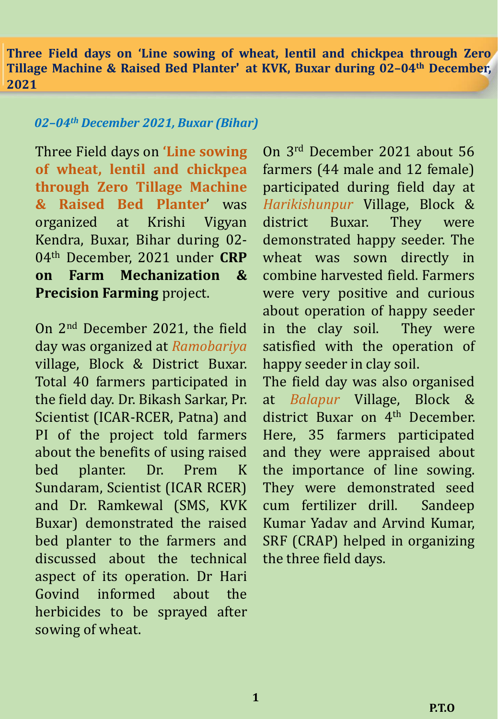**Three Field days on 'Line sowing of wheat, lentil and chickpea through Zero Tillage Machine & Raised Bed Planter' at KVK, Buxar during 02–04th December, 2021**

#### *02–04th December 2021, Buxar (Bihar)*

Three Field days on **'Line sowing of wheat, lentil and chickpea through Zero Tillage Machine & Raised Bed Planter**' was organized at Krishi Vigyan Kendra, Buxar, Bihar during 02- 04th December, 2021 under **CRP on Farm Mechanization & Precision Farming** project.

On 2 nd December 2021, the field day was organized at *Ramobariya* village, Block & District Buxar. Total 40 farmers participated in the field day. Dr. Bikash Sarkar, Pr. Scientist (ICAR-RCER, Patna) and PI of the project told farmers about the benefits of using raised bed planter. Dr. Prem K Sundaram, Scientist (ICAR RCER) and Dr. Ramkewal (SMS, KVK Buxar) demonstrated the raised bed planter to the farmers and discussed about the technical aspect of its operation. Dr Hari Govind informed about the herbicides to be sprayed after sowing of wheat.

On 3 rd December 2021 about 56 farmers (44 male and 12 female) participated during field day at *Harikishunpur* Village, Block & district Buxar. They were demonstrated happy seeder. The wheat was sown directly in combine harvested field. Farmers were very positive and curious about operation of happy seeder in the clay soil. They were satisfied with the operation of happy seeder in clay soil.

The field day was also organised at *Balapur* Village, Block & district Buxar on 4<sup>th</sup> December. Here, 35 farmers participated and they were appraised about the importance of line sowing. They were demonstrated seed cum fertilizer drill. Sandeep Kumar Yadav and Arvind Kumar, SRF (CRAP) helped in organizing the three field days.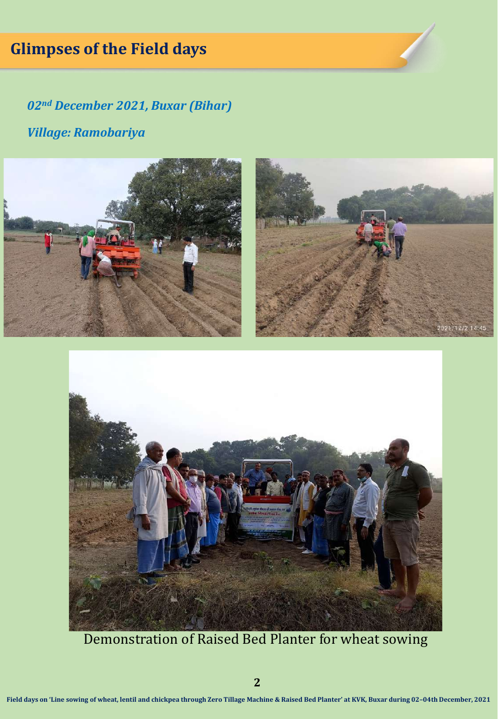# **Glimpses of the Field days**

*02nd December 2021, Buxar (Bihar) Village: Ramobariya*



Demonstration of Raised Bed Planter for wheat sowing

**2**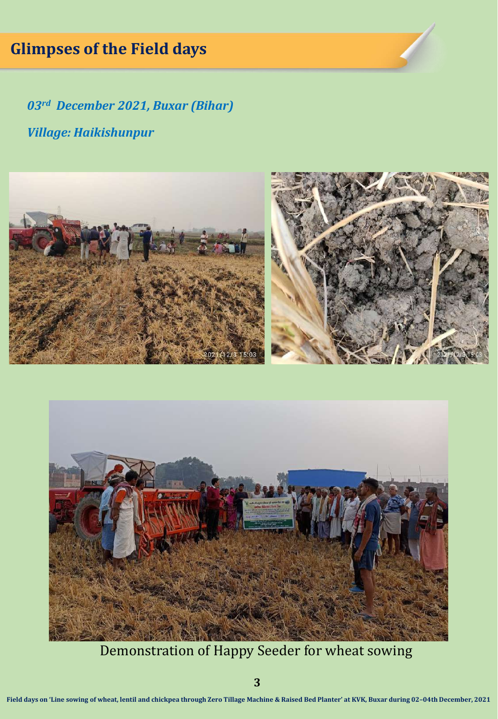# **Glimpses of the Field days**

*03rd December 2021, Buxar (Bihar) Village: Haikishunpur*





Demonstration of Happy Seeder for wheat sowing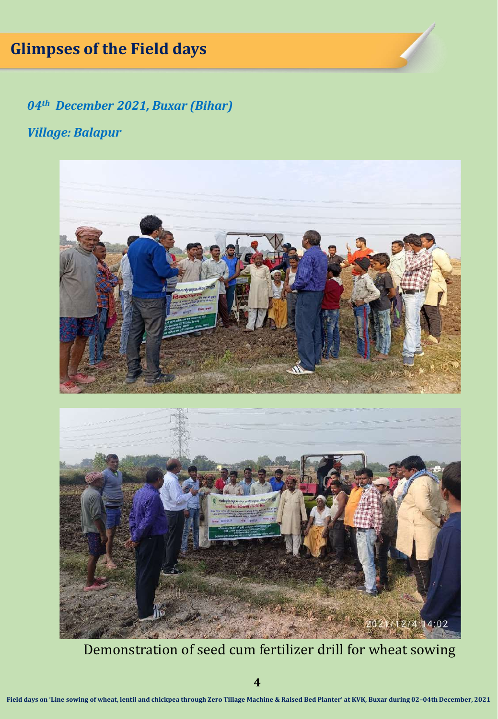# **Glimpses of the Field days**

*04th December 2021, Buxar (Bihar)*

#### *Village: Balapur*



Demonstration of seed cum fertilizer drill for wheat sowing